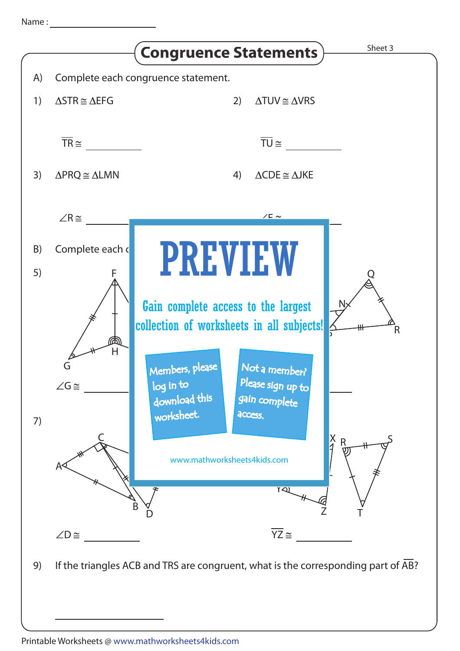